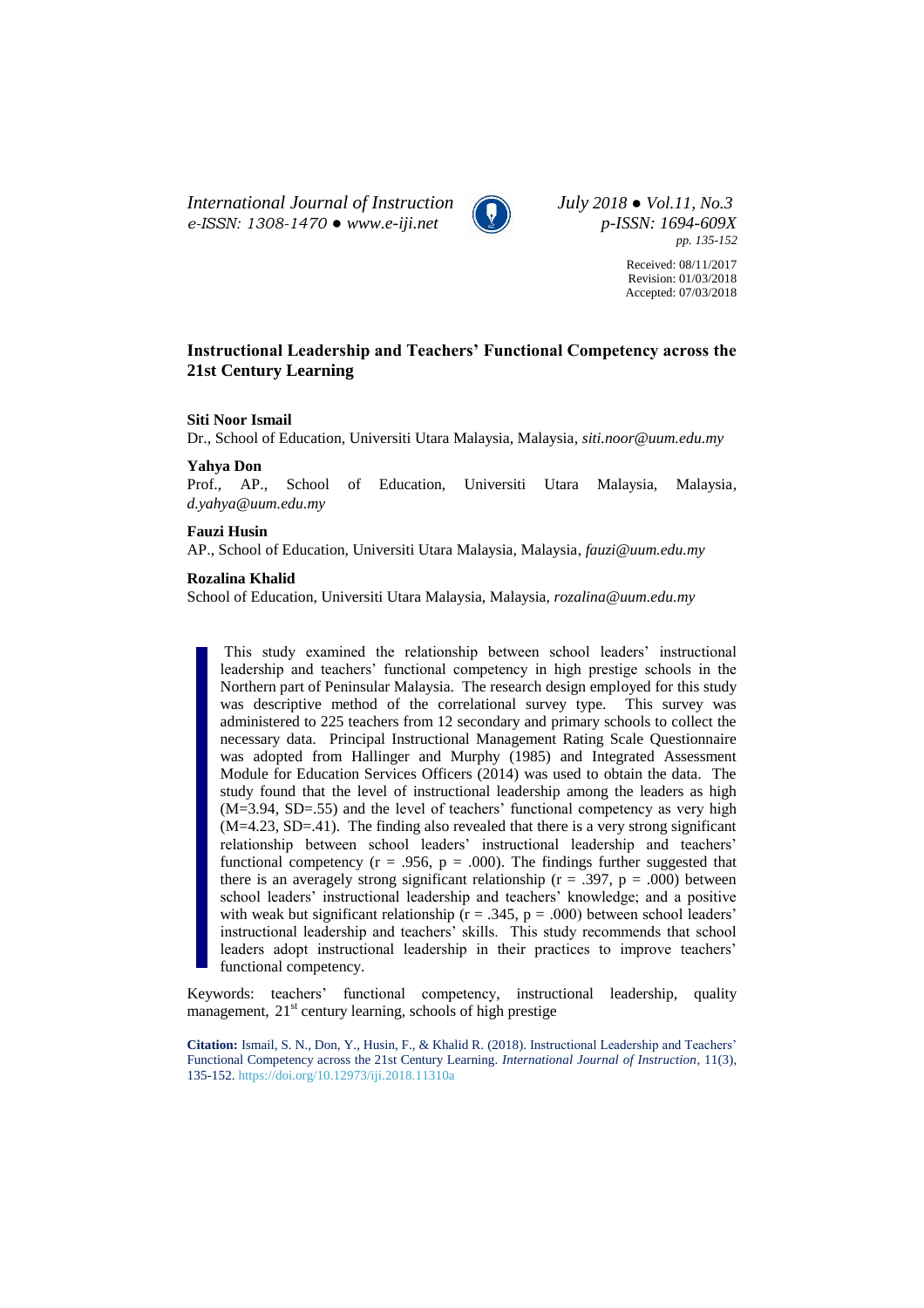*International Journal of Instruction July 2018 ● Vol.11, No.3 e-ISSN: 1308-1470 ● [www.e-iji.net](http://www.e-iji.net/) p-ISSN: 1694-609X*



*pp. 135-152*

Received: 08/11/2017 Revision: 01/03/2018 Accepted: 07/03/2018

# **Instructional Leadership and Teachers' Functional Competency across the 21st Century Learning**

# **Siti Noor Ismail**

Dr., School of Education, Universiti Utara Malaysia, Malaysia, *siti.noor@uum.edu.my*

# **Yahya Don**

Prof., AP., School of Education, Universiti Utara Malaysia, Malaysia, *d.yahya@uum.edu.my*

#### **Fauzi Husin**

AP., School of Education, Universiti Utara Malaysia, Malaysia, *fauzi@uum.edu.my*

#### **Rozalina Khalid**

School of Education, Universiti Utara Malaysia, Malaysia, *rozalina@uum.edu.my*

This study examined the relationship between school leaders' instructional leadership and teachers' functional competency in high prestige schools in the Northern part of Peninsular Malaysia. The research design employed for this study was descriptive method of the correlational survey type. This survey was administered to 225 teachers from 12 secondary and primary schools to collect the necessary data. Principal Instructional Management Rating Scale Questionnaire was adopted from Hallinger and Murphy (1985) and Integrated Assessment Module for Education Services Officers (2014) was used to obtain the data. The study found that the level of instructional leadership among the leaders as high (M=3.94, SD=.55) and the level of teachers' functional competency as very high (M=4.23, SD=.41). The finding also revealed that there is a very strong significant relationship between school leaders' instructional leadership and teachers' functional competency ( $r = .956$ ,  $p = .000$ ). The findings further suggested that there is an averagely strong significant relationship ( $r = .397$ ,  $p = .000$ ) between school leaders' instructional leadership and teachers' knowledge; and a positive with weak but significant relationship  $(r = .345, p = .000)$  between school leaders' instructional leadership and teachers' skills. This study recommends that school leaders adopt instructional leadership in their practices to improve teachers' functional competency.

Keywords: teachers' functional competency, instructional leadership, quality management,  $21<sup>st</sup>$  century learning, schools of high prestige

**Citation:** Ismail, S. N., Don, Y., Husin, F., & Khalid R. (2018). Instructional Leadership and Teachers' Functional Competency across the 21st Century Learning. *International Journal of Instruction*, 11(3), 135-152. <https://doi.org/10.12973/iji.2018.11310a>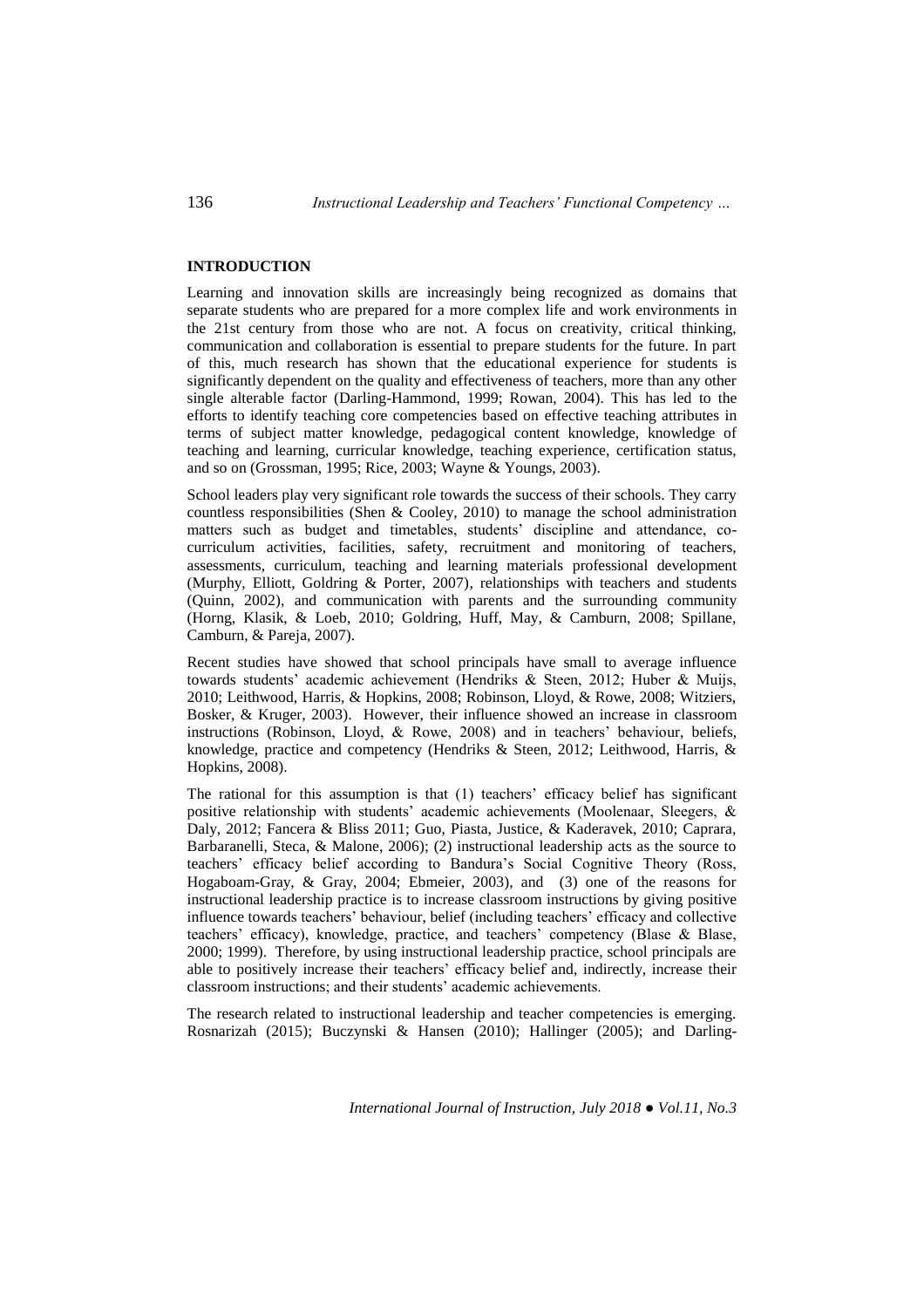# **INTRODUCTION**

Learning and innovation skills are increasingly being recognized as domains that separate students who are prepared for a more complex life and work environments in the 21st century from those who are not. A focus on creativity, critical thinking, communication and collaboration is essential to prepare students for the future. In part of this, much research has shown that the educational experience for students is significantly dependent on the quality and effectiveness of teachers, more than any other single alterable factor (Darling-Hammond, 1999; Rowan, 2004). This has led to the efforts to identify teaching core competencies based on effective teaching attributes in terms of subject matter knowledge, pedagogical content knowledge, knowledge of teaching and learning, curricular knowledge, teaching experience, certification status, and so on (Grossman, 1995; Rice, 2003; Wayne & Youngs, 2003).

School leaders play very significant role towards the success of their schools. They carry countless responsibilities (Shen & Cooley, 2010) to manage the school administration matters such as budget and timetables, students' discipline and attendance, cocurriculum activities, facilities, safety, recruitment and monitoring of teachers, assessments, curriculum, teaching and learning materials professional development (Murphy, Elliott, Goldring & Porter, 2007), relationships with teachers and students (Quinn, 2002), and communication with parents and the surrounding community (Horng, Klasik, & Loeb, 2010; Goldring, Huff, May, & Camburn, 2008; Spillane, Camburn, & Pareja, 2007).

Recent studies have showed that school principals have small to average influence towards students' academic achievement (Hendriks & Steen, 2012; Huber & Muijs, 2010; Leithwood, Harris, & Hopkins, 2008; Robinson, Lloyd, & Rowe, 2008; Witziers, Bosker, & Kruger, 2003). However, their influence showed an increase in classroom instructions (Robinson, Lloyd, & Rowe, 2008) and in teachers' behaviour, beliefs, knowledge, practice and competency (Hendriks & Steen, 2012; Leithwood, Harris, & Hopkins, 2008).

The rational for this assumption is that (1) teachers' efficacy belief has significant positive relationship with students' academic achievements (Moolenaar, Sleegers, & Daly, 2012; Fancera & Bliss 2011; Guo, Piasta, Justice, & Kaderavek, 2010; Caprara, Barbaranelli, Steca, & Malone, 2006); (2) instructional leadership acts as the source to teachers' efficacy belief according to Bandura's Social Cognitive Theory (Ross, Hogaboam-Gray, & Gray, 2004; Ebmeier, 2003), and (3) one of the reasons for instructional leadership practice is to increase classroom instructions by giving positive influence towards teachers' behaviour, belief (including teachers' efficacy and collective teachers' efficacy), knowledge, practice, and teachers' competency (Blase & Blase, 2000; 1999). Therefore, by using instructional leadership practice, school principals are able to positively increase their teachers' efficacy belief and, indirectly, increase their classroom instructions; and their students' academic achievements.

The research related to instructional leadership and teacher competencies is emerging. Rosnarizah (2015); Buczynski & Hansen (2010); Hallinger (2005); and Darling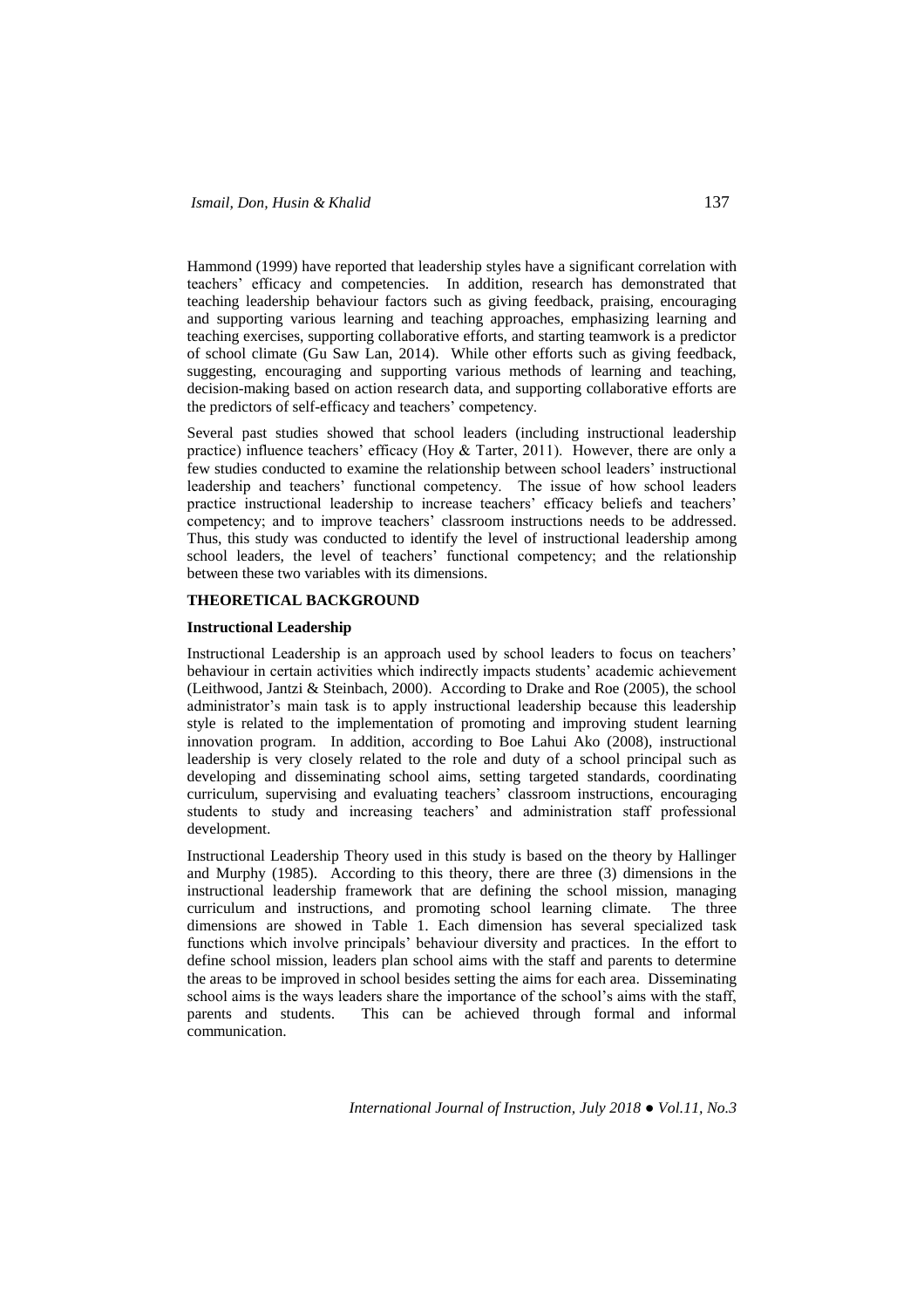Hammond (1999) have reported that leadership styles have a significant correlation with teachers' efficacy and competencies. In addition, research has demonstrated that teaching leadership behaviour factors such as giving feedback, praising, encouraging and supporting various learning and teaching approaches, emphasizing learning and teaching exercises, supporting collaborative efforts, and starting teamwork is a predictor of school climate (Gu Saw Lan, 2014). While other efforts such as giving feedback, suggesting, encouraging and supporting various methods of learning and teaching, decision-making based on action research data, and supporting collaborative efforts are the predictors of self-efficacy and teachers' competency.

Several past studies showed that school leaders (including instructional leadership practice) influence teachers' efficacy (Hoy & Tarter, 2011). However, there are only a few studies conducted to examine the relationship between school leaders' instructional leadership and teachers' functional competency. The issue of how school leaders practice instructional leadership to increase teachers' efficacy beliefs and teachers' competency; and to improve teachers' classroom instructions needs to be addressed. Thus, this study was conducted to identify the level of instructional leadership among school leaders, the level of teachers' functional competency; and the relationship between these two variables with its dimensions.

### **THEORETICAL BACKGROUND**

#### **Instructional Leadership**

Instructional Leadership is an approach used by school leaders to focus on teachers' behaviour in certain activities which indirectly impacts students' academic achievement (Leithwood, Jantzi & Steinbach, 2000). According to Drake and Roe (2005), the school administrator's main task is to apply instructional leadership because this leadership style is related to the implementation of promoting and improving student learning innovation program. In addition, according to Boe Lahui Ako (2008), instructional leadership is very closely related to the role and duty of a school principal such as developing and disseminating school aims, setting targeted standards, coordinating curriculum, supervising and evaluating teachers' classroom instructions, encouraging students to study and increasing teachers' and administration staff professional development.

Instructional Leadership Theory used in this study is based on the theory by Hallinger and Murphy (1985). According to this theory, there are three (3) dimensions in the instructional leadership framework that are defining the school mission, managing curriculum and instructions, and promoting school learning climate. The three dimensions are showed in Table 1. Each dimension has several specialized task functions which involve principals' behaviour diversity and practices. In the effort to define school mission, leaders plan school aims with the staff and parents to determine the areas to be improved in school besides setting the aims for each area. Disseminating school aims is the ways leaders share the importance of the school's aims with the staff, parents and students. This can be achieved through formal and informal communication.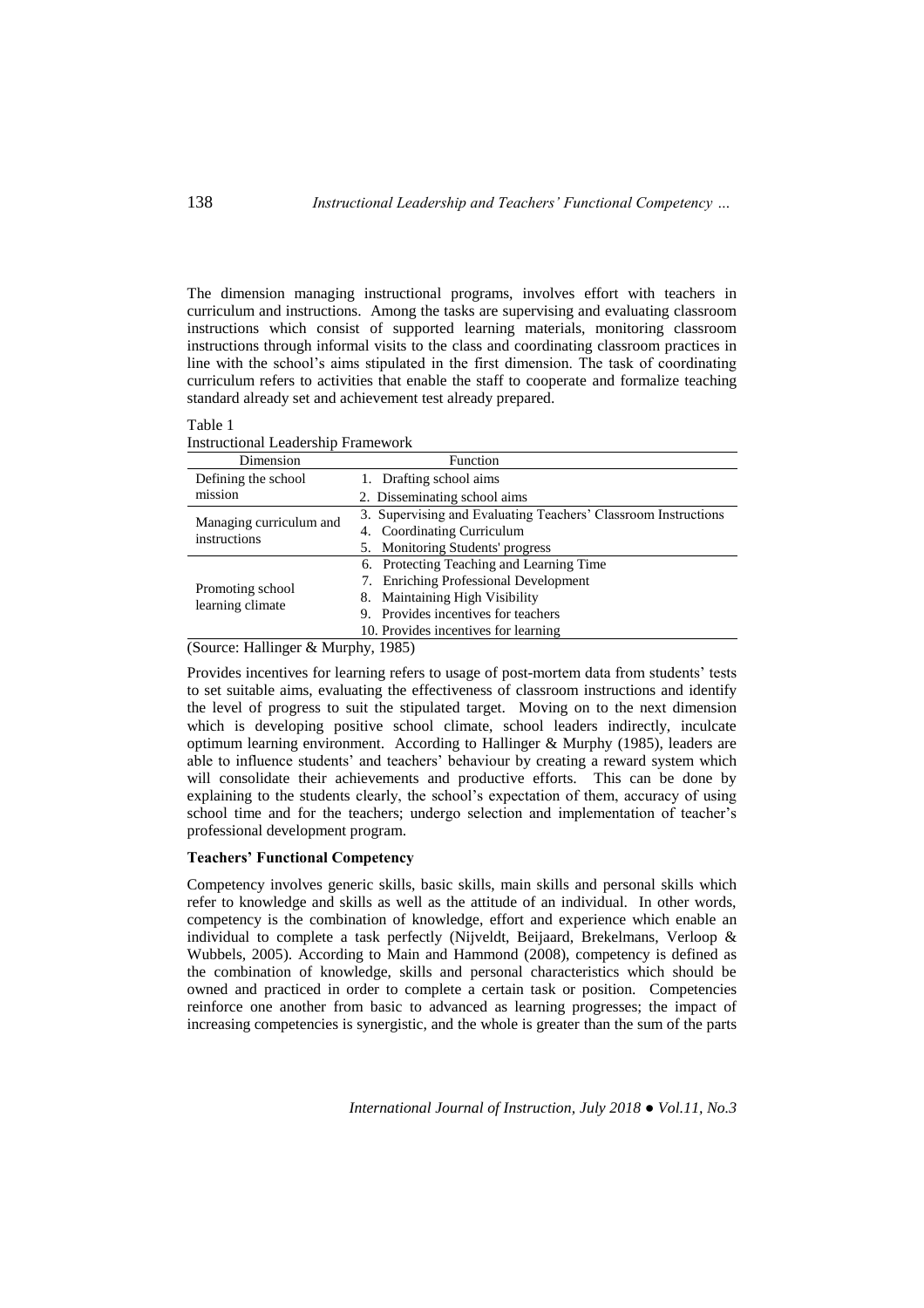The dimension managing instructional programs, involves effort with teachers in curriculum and instructions. Among the tasks are supervising and evaluating classroom instructions which consist of supported learning materials, monitoring classroom instructions through informal visits to the class and coordinating classroom practices in line with the school's aims stipulated in the first dimension. The task of coordinating curriculum refers to activities that enable the staff to cooperate and formalize teaching standard already set and achievement test already prepared.

| able |  |
|------|--|
|------|--|

Instructional Leadership Framework

| Dimension                               | Function                                                       |  |  |  |
|-----------------------------------------|----------------------------------------------------------------|--|--|--|
| Defining the school                     | 1. Drafting school aims                                        |  |  |  |
| mission                                 | 2. Disseminating school aims                                   |  |  |  |
|                                         | 3. Supervising and Evaluating Teachers' Classroom Instructions |  |  |  |
| Managing curriculum and<br>instructions | 4. Coordinating Curriculum                                     |  |  |  |
|                                         | 5. Monitoring Students' progress                               |  |  |  |
|                                         | 6. Protecting Teaching and Learning Time                       |  |  |  |
| Promoting school<br>learning climate    | 7. Enriching Professional Development                          |  |  |  |
|                                         | 8. Maintaining High Visibility                                 |  |  |  |
|                                         | 9. Provides incentives for teachers                            |  |  |  |
|                                         | 10. Provides incentives for learning                           |  |  |  |
|                                         |                                                                |  |  |  |

(Source: Hallinger & Murphy, 1985)

Provides incentives for learning refers to usage of post-mortem data from students' tests to set suitable aims, evaluating the effectiveness of classroom instructions and identify the level of progress to suit the stipulated target. Moving on to the next dimension which is developing positive school climate, school leaders indirectly, inculcate optimum learning environment. According to Hallinger & Murphy (1985), leaders are able to influence students' and teachers' behaviour by creating a reward system which will consolidate their achievements and productive efforts. This can be done by explaining to the students clearly, the school's expectation of them, accuracy of using school time and for the teachers; undergo selection and implementation of teacher's professional development program.

# **Teachers' Functional Competency**

Competency involves generic skills, basic skills, main skills and personal skills which refer to knowledge and skills as well as the attitude of an individual. In other words, competency is the combination of knowledge, effort and experience which enable an individual to complete a task perfectly (Nijveldt, Beijaard, Brekelmans, Verloop & Wubbels, 2005). According to Main and Hammond (2008), competency is defined as the combination of knowledge, skills and personal characteristics which should be owned and practiced in order to complete a certain task or position. Competencies reinforce one another from basic to advanced as learning progresses; the impact of increasing competencies is synergistic, and the whole is greater than the sum of the parts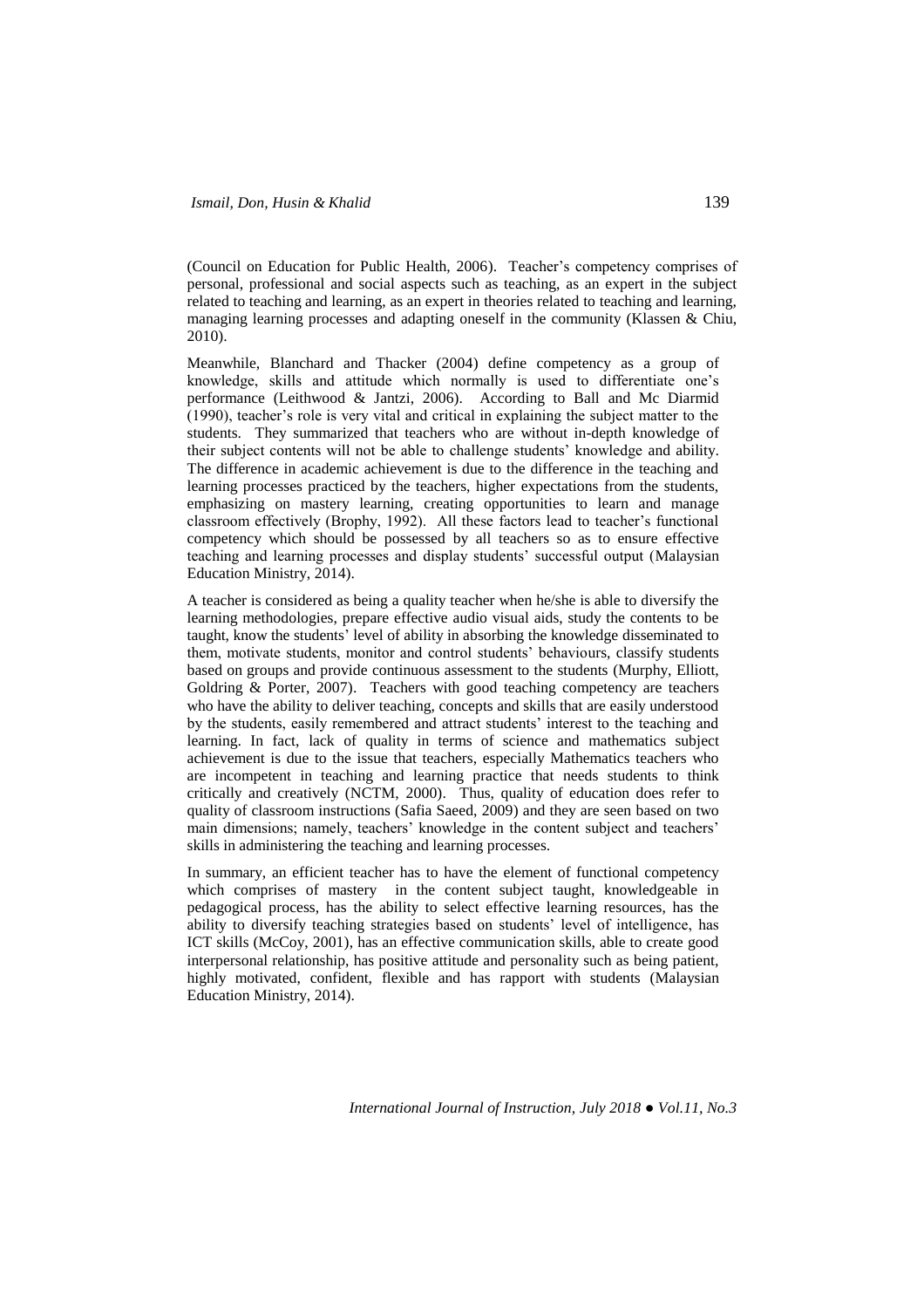(Council on Education for Public Health, 2006). Teacher's competency comprises of personal, professional and social aspects such as teaching, as an expert in the subject related to teaching and learning, as an expert in theories related to teaching and learning, managing learning processes and adapting oneself in the community (Klassen & Chiu, 2010).

Meanwhile, Blanchard and Thacker (2004) define competency as a group of knowledge, skills and attitude which normally is used to differentiate one's performance (Leithwood & Jantzi, 2006). According to Ball and Mc Diarmid (1990), teacher's role is very vital and critical in explaining the subject matter to the students. They summarized that teachers who are without in-depth knowledge of their subject contents will not be able to challenge students' knowledge and ability. The difference in academic achievement is due to the difference in the teaching and learning processes practiced by the teachers, higher expectations from the students, emphasizing on mastery learning, creating opportunities to learn and manage classroom effectively (Brophy, 1992). All these factors lead to teacher's functional competency which should be possessed by all teachers so as to ensure effective teaching and learning processes and display students' successful output (Malaysian Education Ministry, 2014).

A teacher is considered as being a quality teacher when he/she is able to diversify the learning methodologies, prepare effective audio visual aids, study the contents to be taught, know the students' level of ability in absorbing the knowledge disseminated to them, motivate students, monitor and control students' behaviours, classify students based on groups and provide continuous assessment to the students (Murphy, Elliott, Goldring & Porter, 2007). Teachers with good teaching competency are teachers who have the ability to deliver teaching, concepts and skills that are easily understood by the students, easily remembered and attract students' interest to the teaching and learning. In fact, lack of quality in terms of science and mathematics subject achievement is due to the issue that teachers, especially Mathematics teachers who are incompetent in teaching and learning practice that needs students to think critically and creatively (NCTM, 2000). Thus, quality of education does refer to quality of classroom instructions (Safia Saeed, 2009) and they are seen based on two main dimensions; namely, teachers' knowledge in the content subject and teachers' skills in administering the teaching and learning processes.

In summary, an efficient teacher has to have the element of functional competency which comprises of mastery in the content subject taught, knowledgeable in pedagogical process, has the ability to select effective learning resources, has the ability to diversify teaching strategies based on students' level of intelligence, has ICT skills (McCoy, 2001), has an effective communication skills, able to create good interpersonal relationship, has positive attitude and personality such as being patient, highly motivated, confident, flexible and has rapport with students (Malaysian Education Ministry, 2014).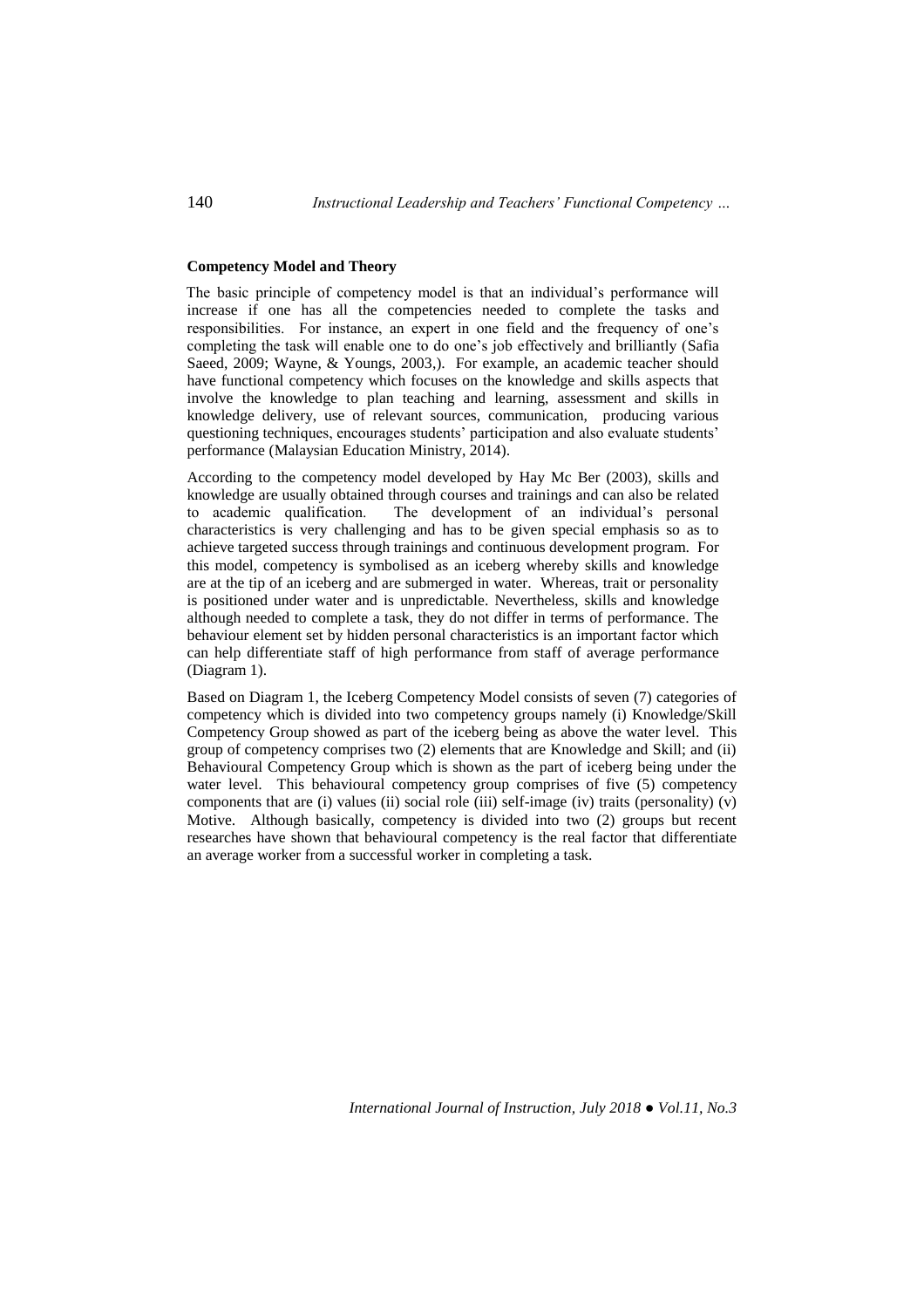# **Competency Model and Theory**

The basic principle of competency model is that an individual's performance will increase if one has all the competencies needed to complete the tasks and responsibilities. For instance, an expert in one field and the frequency of one's completing the task will enable one to do one's job effectively and brilliantly (Safia Saeed, 2009; Wayne, & Youngs, 2003,). For example, an academic teacher should have functional competency which focuses on the knowledge and skills aspects that involve the knowledge to plan teaching and learning, assessment and skills in knowledge delivery, use of relevant sources, communication, producing various questioning techniques, encourages students' participation and also evaluate students' performance (Malaysian Education Ministry, 2014).

According to the competency model developed by Hay Mc Ber (2003), skills and knowledge are usually obtained through courses and trainings and can also be related to academic qualification. The development of an individual's personal characteristics is very challenging and has to be given special emphasis so as to achieve targeted success through trainings and continuous development program. For this model, competency is symbolised as an iceberg whereby skills and knowledge are at the tip of an iceberg and are submerged in water. Whereas, trait or personality is positioned under water and is unpredictable. Nevertheless, skills and knowledge although needed to complete a task, they do not differ in terms of performance. The behaviour element set by hidden personal characteristics is an important factor which can help differentiate staff of high performance from staff of average performance (Diagram 1).

Based on Diagram 1, the Iceberg Competency Model consists of seven (7) categories of competency which is divided into two competency groups namely (i) Knowledge/Skill Competency Group showed as part of the iceberg being as above the water level. This group of competency comprises two (2) elements that are Knowledge and Skill; and (ii) Behavioural Competency Group which is shown as the part of iceberg being under the water level. This behavioural competency group comprises of five (5) competency components that are (i) values (ii) social role (iii) self-image (iv) traits (personality)  $(v)$ Motive. Although basically, competency is divided into two (2) groups but recent researches have shown that behavioural competency is the real factor that differentiate an average worker from a successful worker in completing a task.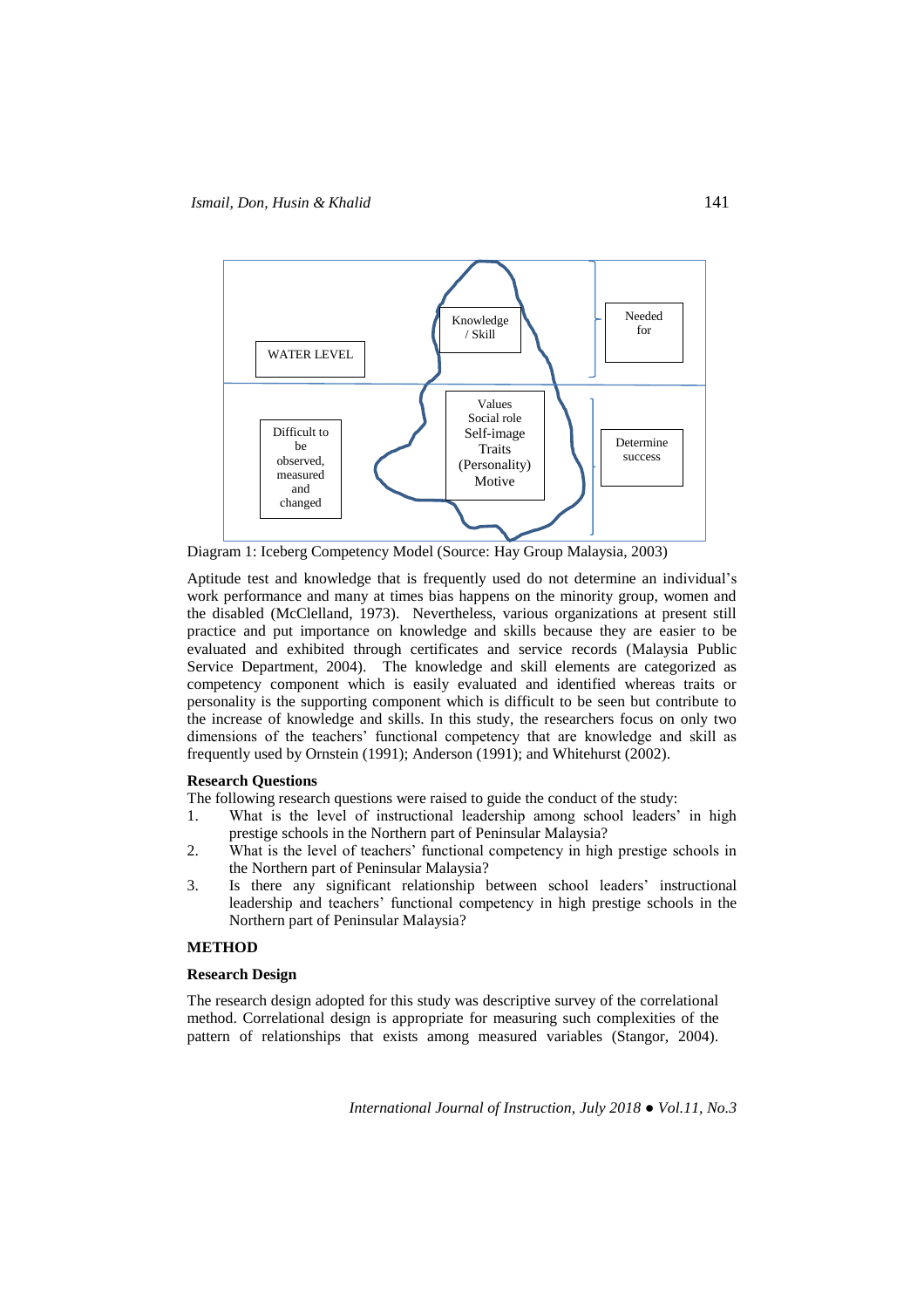

Diagram 1: Iceberg Competency Model (Source: Hay Group Malaysia, 2003)

Aptitude test and knowledge that is frequently used do not determine an individual's work performance and many at times bias happens on the minority group, women and the disabled (McClelland, 1973). Nevertheless, various organizations at present still practice and put importance on knowledge and skills because they are easier to be evaluated and exhibited through certificates and service records (Malaysia Public Service Department, 2004). The knowledge and skill elements are categorized as competency component which is easily evaluated and identified whereas traits or personality is the supporting component which is difficult to be seen but contribute to the increase of knowledge and skills. In this study, the researchers focus on only two dimensions of the teachers' functional competency that are knowledge and skill as frequently used by Ornstein (1991); Anderson (1991); and Whitehurst (2002).

## **Research Questions**

The following research questions were raised to guide the conduct of the study:

- 1. What is the level of instructional leadership among school leaders' in high prestige schools in the Northern part of Peninsular Malaysia?
- 2. What is the level of teachers' functional competency in high prestige schools in the Northern part of Peninsular Malaysia?
- 3. Is there any significant relationship between school leaders' instructional leadership and teachers' functional competency in high prestige schools in the Northern part of Peninsular Malaysia?

## **METHOD**

#### **Research Design**

The research design adopted for this study was descriptive survey of the correlational method. Correlational design is appropriate for measuring such complexities of the pattern of relationships that exists among measured variables (Stangor, 2004).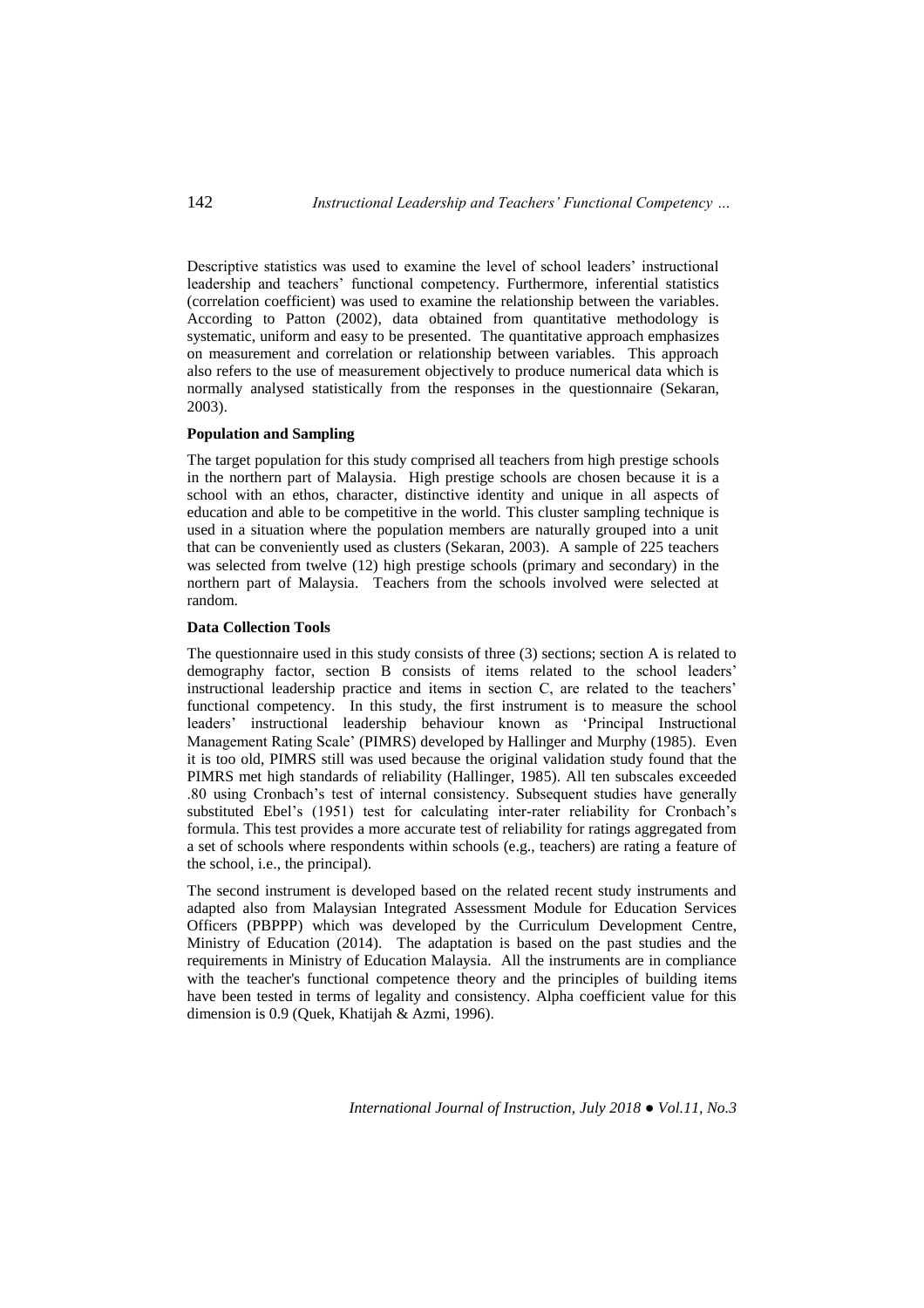Descriptive statistics was used to examine the level of school leaders' instructional leadership and teachers' functional competency. Furthermore, inferential statistics (correlation coefficient) was used to examine the relationship between the variables. According to Patton (2002), data obtained from quantitative methodology is systematic, uniform and easy to be presented. The quantitative approach emphasizes on measurement and correlation or relationship between variables. This approach also refers to the use of measurement objectively to produce numerical data which is normally analysed statistically from the responses in the questionnaire (Sekaran, 2003).

# **Population and Sampling**

The target population for this study comprised all teachers from high prestige schools in the northern part of Malaysia. High prestige schools are chosen because it is a school with an ethos, character, distinctive identity and unique in all aspects of education and able to be competitive in the world. This cluster sampling technique is used in a situation where the population members are naturally grouped into a unit that can be conveniently used as clusters (Sekaran, 2003). A sample of 225 teachers was selected from twelve (12) high prestige schools (primary and secondary) in the northern part of Malaysia. Teachers from the schools involved were selected at random.

#### **Data Collection Tools**

The questionnaire used in this study consists of three (3) sections; section A is related to demography factor, section B consists of items related to the school leaders' instructional leadership practice and items in section C, are related to the teachers' functional competency. In this study, the first instrument is to measure the school leaders' instructional leadership behaviour known as 'Principal Instructional Management Rating Scale' (PIMRS) developed by Hallinger and Murphy (1985). Even it is too old, PIMRS still was used because the original validation study found that the PIMRS met high standards of reliability (Hallinger, 1985). All ten subscales exceeded .80 using Cronbach's test of internal consistency. Subsequent studies have generally substituted Ebel's (1951) test for calculating inter-rater reliability for Cronbach's formula. This test provides a more accurate test of reliability for ratings aggregated from a set of schools where respondents within schools (e.g., teachers) are rating a feature of the school, i.e., the principal).

The second instrument is developed based on the related recent study instruments and adapted also from Malaysian Integrated Assessment Module for Education Services Officers (PBPPP) which was developed by the Curriculum Development Centre, Ministry of Education (2014). The adaptation is based on the past studies and the requirements in Ministry of Education Malaysia. All the instruments are in compliance with the teacher's functional competence theory and the principles of building items have been tested in terms of legality and consistency. Alpha coefficient value for this dimension is 0.9 (Quek, Khatijah & Azmi, 1996).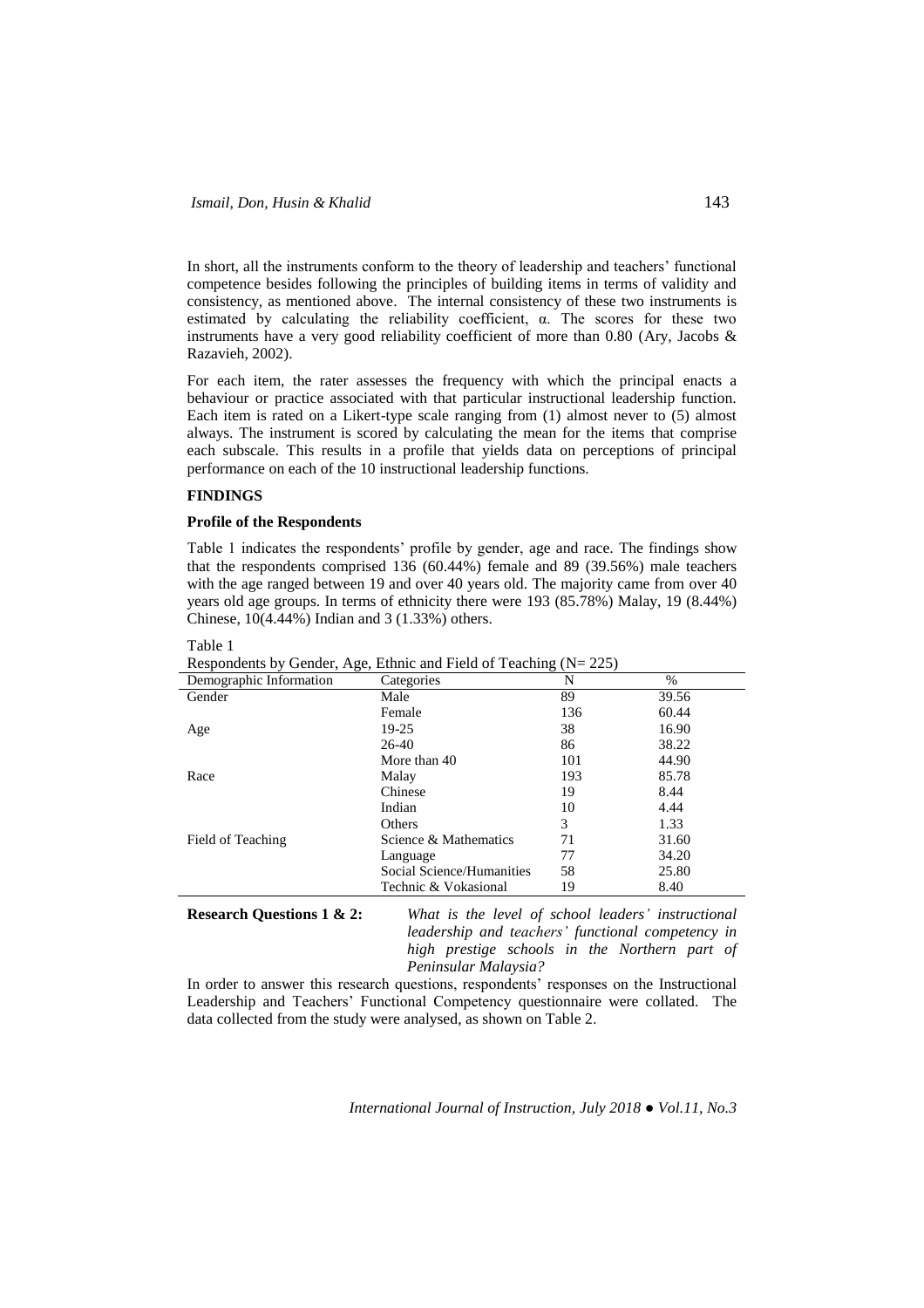In short, all the instruments conform to the theory of leadership and teachers' functional competence besides following the principles of building items in terms of validity and consistency, as mentioned above. The internal consistency of these two instruments is estimated by calculating the reliability coefficient, α. The scores for these two instruments have a very good reliability coefficient of more than 0.80 (Ary, Jacobs & Razavieh, 2002).

For each item, the rater assesses the frequency with which the principal enacts a behaviour or practice associated with that particular instructional leadership function. Each item is rated on a Likert-type scale ranging from (1) almost never to (5) almost always. The instrument is scored by calculating the mean for the items that comprise each subscale. This results in a profile that yields data on perceptions of principal performance on each of the 10 instructional leadership functions.

### **FINDINGS**

### **Profile of the Respondents**

Table 1 indicates the respondents' profile by gender, age and race. The findings show that the respondents comprised 136 (60.44%) female and 89 (39.56%) male teachers with the age ranged between 19 and over 40 years old. The majority came from over 40 years old age groups. In terms of ethnicity there were 193 (85.78%) Malay, 19 (8.44%) Chinese, 10(4.44%) Indian and 3 (1.33%) others.

| Respondents by Gender, Age, Edinic and Field of Featuring $(N - 225)$ |                           |     |               |
|-----------------------------------------------------------------------|---------------------------|-----|---------------|
| Demographic Information                                               | Categories                | N   | $\frac{0}{0}$ |
| Gender                                                                | Male                      | 89  | 39.56         |
|                                                                       | Female                    | 136 | 60.44         |
| Age                                                                   | 19-25                     | 38  | 16.90         |
|                                                                       | $26-40$                   | 86  | 38.22         |
|                                                                       | More than 40              | 101 | 44.90         |
| Race                                                                  | Malay                     | 193 | 85.78         |
|                                                                       | Chinese                   | 19  | 8.44          |
|                                                                       | Indian                    | 10  | 4.44          |
|                                                                       | <b>Others</b>             | 3   | 1.33          |
| Field of Teaching                                                     | Science & Mathematics     | 71  | 31.60         |
|                                                                       | Language                  | 77  | 34.20         |
|                                                                       | Social Science/Humanities | 58  | 25.80         |
|                                                                       | Technic & Vokasional      | 19  | 8.40          |
|                                                                       |                           |     |               |

Table 1

Respondents by Gender,  $\Lambda_{\alpha}$  Ethnic and Field of Teaching  $(N-225)$ 

**Research Questions 1 & 2:** *What is the level of school leaders' instructional leadership and teachers' functional competency in high prestige schools in the Northern part of Peninsular Malaysia?*

In order to answer this research questions, respondents' responses on the Instructional Leadership and Teachers' Functional Competency questionnaire were collated. The data collected from the study were analysed, as shown on Table 2.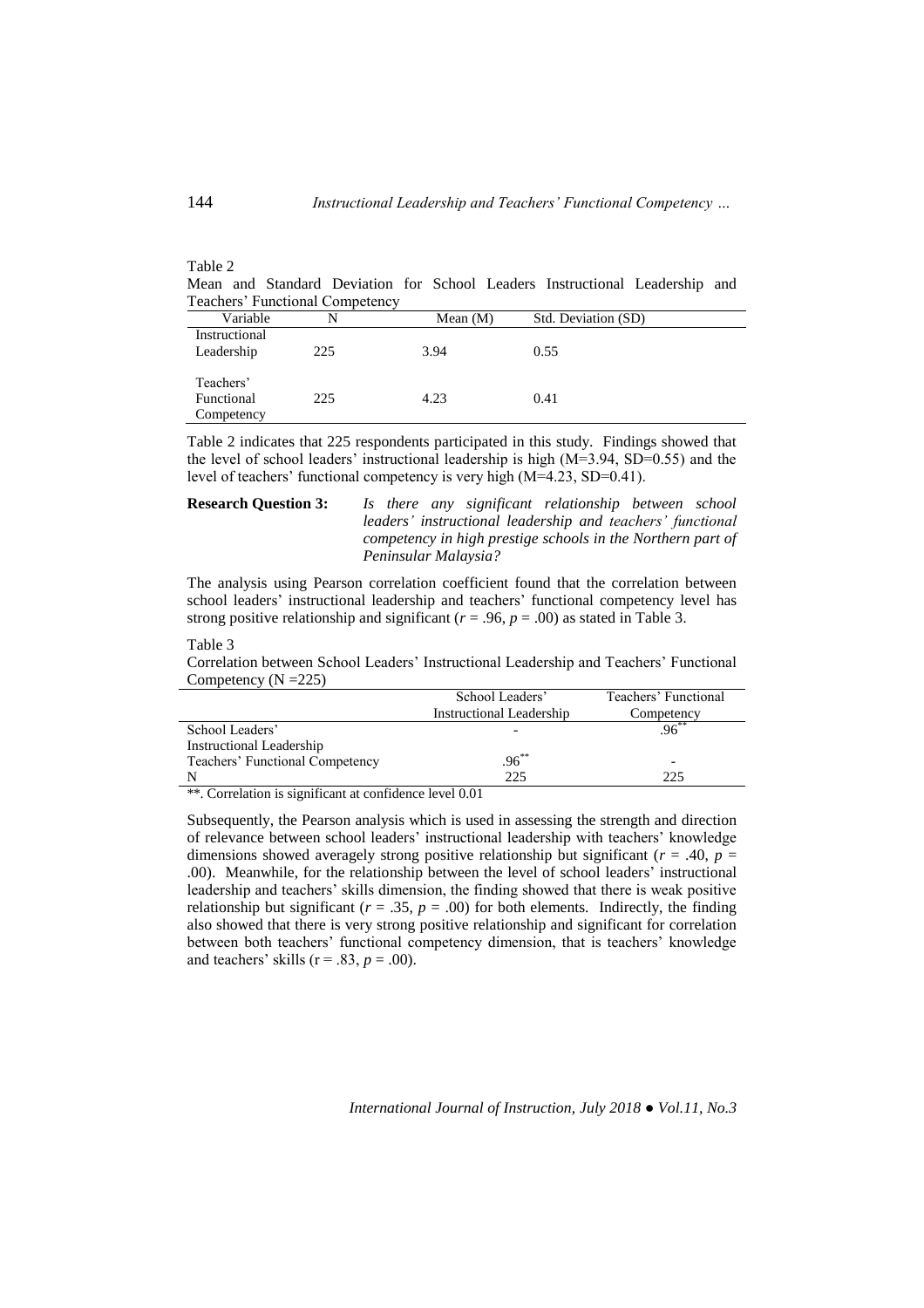| 100IV 2 |  |                                 |  |                                                                             |  |
|---------|--|---------------------------------|--|-----------------------------------------------------------------------------|--|
|         |  |                                 |  | Mean and Standard Deviation for School Leaders Instructional Leadership and |  |
|         |  | Teachers' Functional Competency |  |                                                                             |  |

| Variable      | N   | Mean $(M)$ | Std. Deviation (SD) |  |
|---------------|-----|------------|---------------------|--|
| Instructional |     |            |                     |  |
| Leadership    | 225 | 3.94       | 0.55                |  |
|               |     |            |                     |  |
| Teachers'     |     |            |                     |  |
| Functional    | 225 | 4.23       | 0.41                |  |
| Competency    |     |            |                     |  |

Table 2 indicates that 225 respondents participated in this study. Findings showed that the level of school leaders' instructional leadership is high (M=3.94, SD=0.55) and the level of teachers' functional competency is very high (M=4.23, SD=0.41).

# **Research Question 3:** *Is there any significant relationship between school leaders' instructional leadership and teachers' functional competency in high prestige schools in the Northern part of Peninsular Malaysia?*

The analysis using Pearson correlation coefficient found that the correlation between school leaders' instructional leadership and teachers' functional competency level has strong positive relationship and significant ( $r = .96$ ,  $p = .00$ ) as stated in Table 3.

#### Table 3

Correlation between School Leaders' Instructional Leadership and Teachers' Functional Competency ( $N = 225$ )

|                                 | School Leaders'          | Teachers' Functional |
|---------------------------------|--------------------------|----------------------|
|                                 | Instructional Leadership | Competency           |
| School Leaders'                 |                          | $.96^{**}$           |
| Instructional Leadership        |                          |                      |
| Teachers' Functional Competency | $.96^{\ast\ast}$         | -                    |
|                                 | 225                      | フフち                  |

\*\*. Correlation is significant at confidence level 0.01

Subsequently, the Pearson analysis which is used in assessing the strength and direction of relevance between school leaders' instructional leadership with teachers' knowledge dimensions showed averagely strong positive relationship but significant ( $r = .40$ ,  $p =$ .00). Meanwhile, for the relationship between the level of school leaders' instructional leadership and teachers' skills dimension, the finding showed that there is weak positive relationship but significant ( $r = .35$ ,  $p = .00$ ) for both elements. Indirectly, the finding also showed that there is very strong positive relationship and significant for correlation between both teachers' functional competency dimension, that is teachers' knowledge and teachers' skills ( $r = .83$ ,  $p = .00$ ).

*International Journal of Instruction, July 2018 ● Vol.11, No.3*

Table 2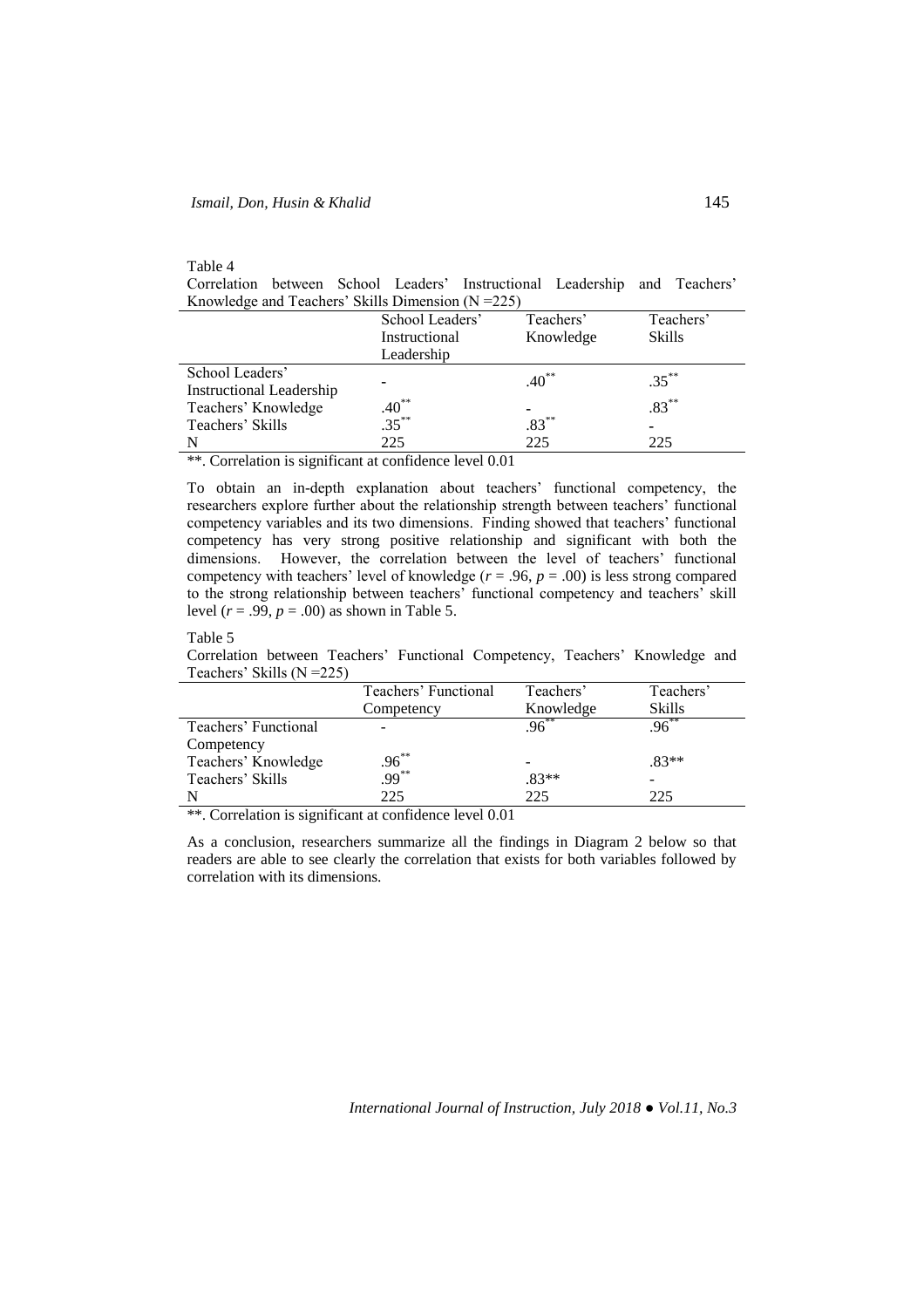# Table 4

Correlation between School Leaders' Instructional Leadership and Teachers' Knowledge and Teachers' Skills Dimension (N =225)

| School Leaders' | Teachers'                | Teachers'            |
|-----------------|--------------------------|----------------------|
| Instructional   | Knowledge                | <b>Skills</b>        |
| Leadership      |                          |                      |
|                 |                          | $.35***$             |
|                 |                          |                      |
|                 |                          | $.83***$             |
|                 |                          |                      |
| 225             | 225                      | 225                  |
|                 | $.40^{**}$<br>$.35^{**}$ | $.40***$<br>$.83***$ |

\*\*. Correlation is significant at confidence level 0.01

To obtain an in-depth explanation about teachers' functional competency, the researchers explore further about the relationship strength between teachers' functional competency variables and its two dimensions. Finding showed that teachers' functional competency has very strong positive relationship and significant with both the dimensions. However, the correlation between the level of teachers' functional competency with teachers' level of knowledge ( $r = .96$ ,  $p = .00$ ) is less strong compared to the strong relationship between teachers' functional competency and teachers' skill level ( $r = .99$ ,  $p = .00$ ) as shown in Table 5.

### Table 5

Correlation between Teachers' Functional Competency, Teachers' Knowledge and Teachers' Skills (N =225)

| Teachers' Functional | Teachers'      | Teachers'     |
|----------------------|----------------|---------------|
| Competency           | Knowledge      | <b>Skills</b> |
|                      |                | $96^{**}$     |
|                      |                |               |
|                      |                | $.83**$       |
|                      | $.83**$        |               |
| 225                  | 225            | 225           |
|                      | .96**<br>.99** | $96^{**}$     |

\*\*. Correlation is significant at confidence level 0.01

As a conclusion, researchers summarize all the findings in Diagram 2 below so that readers are able to see clearly the correlation that exists for both variables followed by correlation with its dimensions.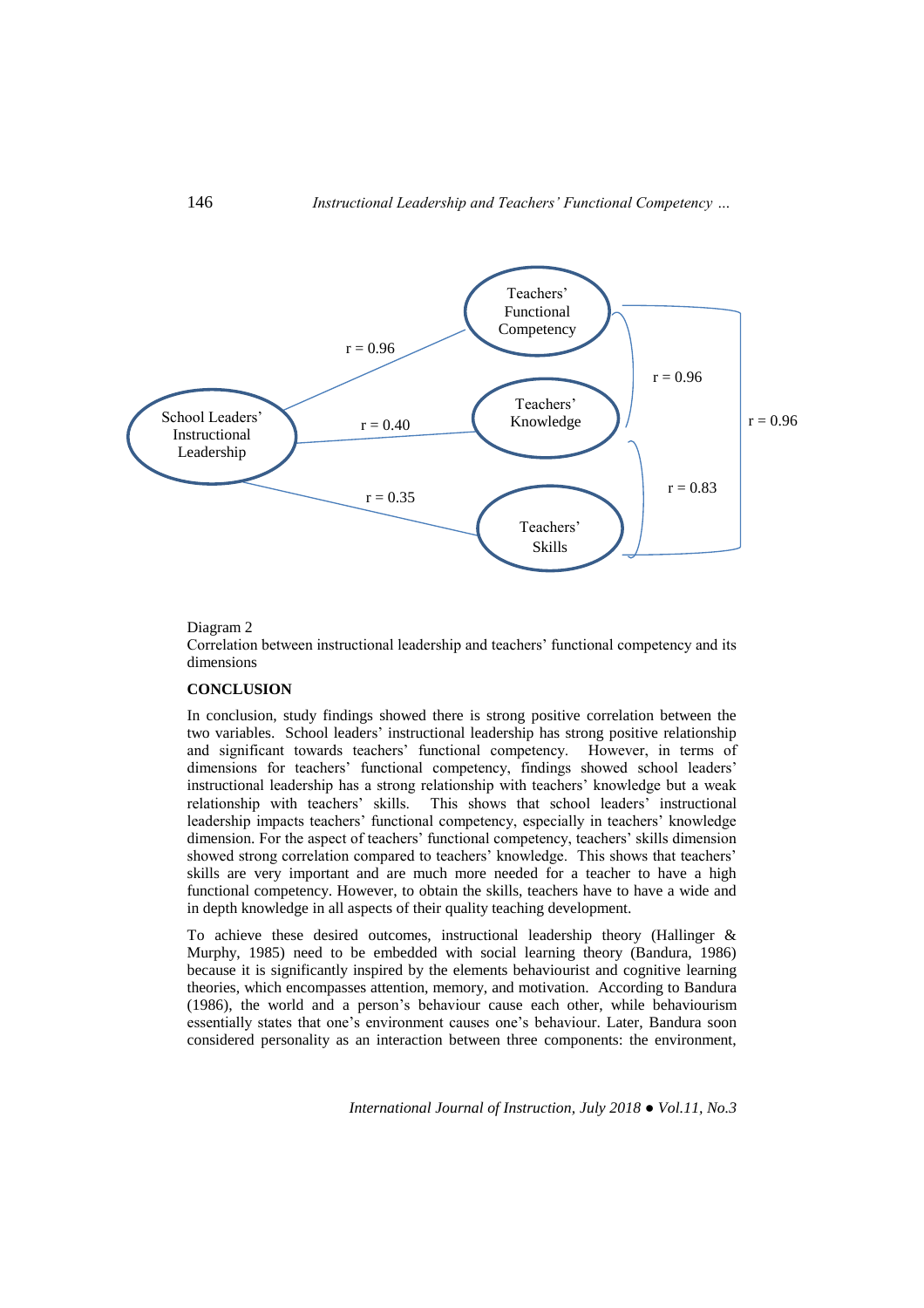

# Diagram 2

Correlation between instructional leadership and teachers' functional competency and its dimensions

# **CONCLUSION**

In conclusion, study findings showed there is strong positive correlation between the two variables. School leaders' instructional leadership has strong positive relationship and significant towards teachers' functional competency. However, in terms of dimensions for teachers' functional competency, findings showed school leaders' instructional leadership has a strong relationship with teachers' knowledge but a weak relationship with teachers' skills. This shows that school leaders' instructional leadership impacts teachers' functional competency, especially in teachers' knowledge dimension. For the aspect of teachers' functional competency, teachers' skills dimension showed strong correlation compared to teachers' knowledge. This shows that teachers' skills are very important and are much more needed for a teacher to have a high functional competency. However, to obtain the skills, teachers have to have a wide and in depth knowledge in all aspects of their quality teaching development.

To achieve these desired outcomes, instructional leadership theory (Hallinger & Murphy, 1985) need to be embedded with social learning theory (Bandura, 1986) because it is significantly inspired by the elements behaviourist and cognitive learning theories, which encompasses attention, memory, and motivation. According to Bandura (1986), the world and a person's behaviour cause each other, while behaviourism essentially states that one's environment causes one's behaviour. Later, Bandura soon considered personality as an interaction between three components: the environment,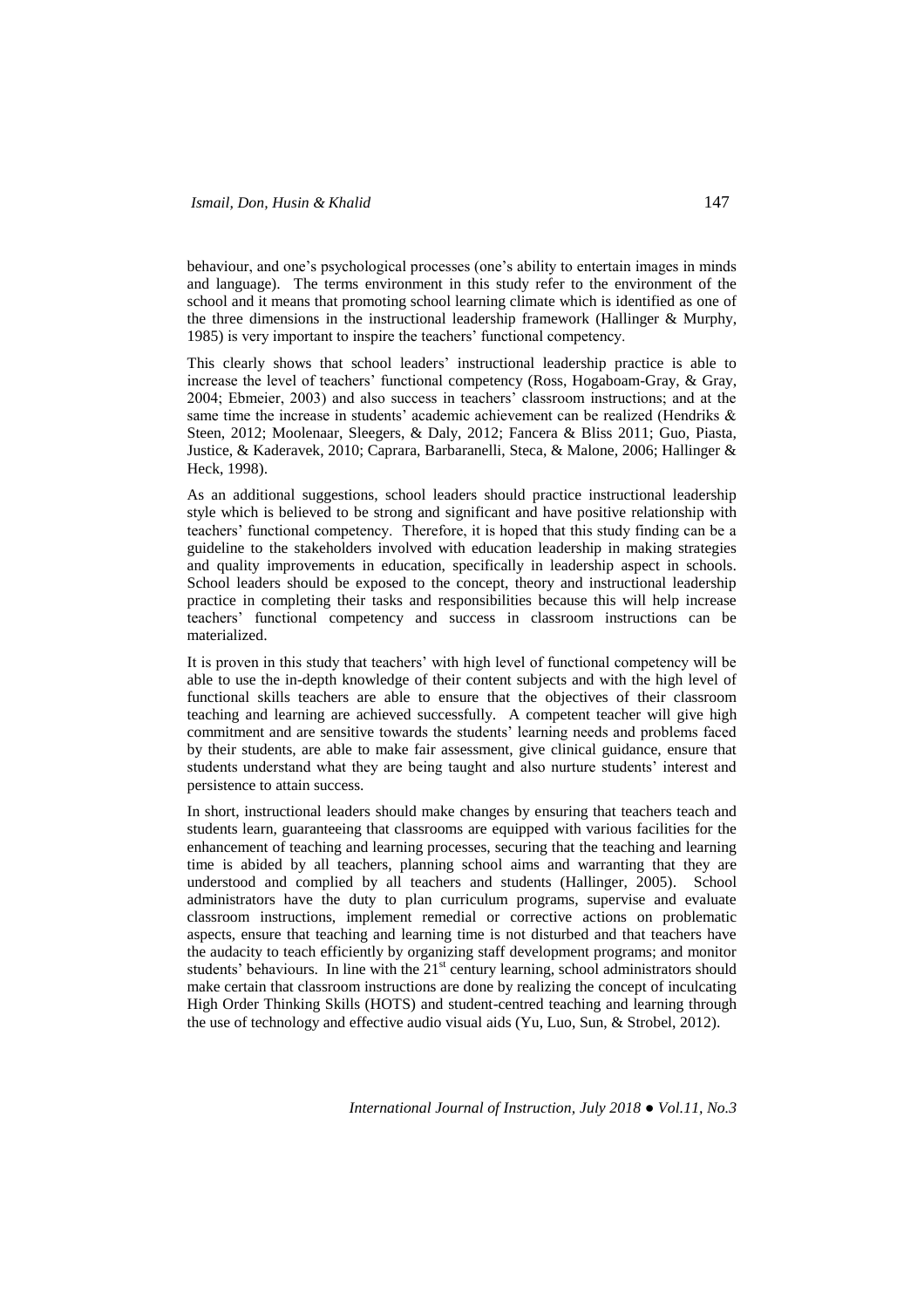behaviour, and one's psychological processes (one's ability to entertain images in minds and language). The terms environment in this study refer to the environment of the school and it means that promoting school learning climate which is identified as one of the three dimensions in the instructional leadership framework (Hallinger & Murphy, 1985) is very important to inspire the teachers' functional competency.

This clearly shows that school leaders' instructional leadership practice is able to increase the level of teachers' functional competency (Ross, Hogaboam-Gray, & Gray, 2004; Ebmeier, 2003) and also success in teachers' classroom instructions; and at the same time the increase in students' academic achievement can be realized (Hendriks & Steen, 2012; Moolenaar, Sleegers, & Daly, 2012; Fancera & Bliss 2011; Guo, Piasta, Justice, & Kaderavek, 2010; Caprara, Barbaranelli, Steca, & Malone, 2006; Hallinger & Heck, 1998).

As an additional suggestions, school leaders should practice instructional leadership style which is believed to be strong and significant and have positive relationship with teachers' functional competency. Therefore, it is hoped that this study finding can be a guideline to the stakeholders involved with education leadership in making strategies and quality improvements in education, specifically in leadership aspect in schools. School leaders should be exposed to the concept, theory and instructional leadership practice in completing their tasks and responsibilities because this will help increase teachers' functional competency and success in classroom instructions can be materialized.

It is proven in this study that teachers' with high level of functional competency will be able to use the in-depth knowledge of their content subjects and with the high level of functional skills teachers are able to ensure that the objectives of their classroom teaching and learning are achieved successfully. A competent teacher will give high commitment and are sensitive towards the students' learning needs and problems faced by their students, are able to make fair assessment, give clinical guidance, ensure that students understand what they are being taught and also nurture students' interest and persistence to attain success.

In short, instructional leaders should make changes by ensuring that teachers teach and students learn, guaranteeing that classrooms are equipped with various facilities for the enhancement of teaching and learning processes, securing that the teaching and learning time is abided by all teachers, planning school aims and warranting that they are understood and complied by all teachers and students (Hallinger, 2005). School administrators have the duty to plan curriculum programs, supervise and evaluate classroom instructions, implement remedial or corrective actions on problematic aspects, ensure that teaching and learning time is not disturbed and that teachers have the audacity to teach efficiently by organizing staff development programs; and monitor students' behaviours. In line with the  $21<sup>st</sup>$  century learning, school administrators should make certain that classroom instructions are done by realizing the concept of inculcating High Order Thinking Skills (HOTS) and student-centred teaching and learning through the use of technology and effective audio visual aids (Yu, Luo, Sun, & Strobel, 2012).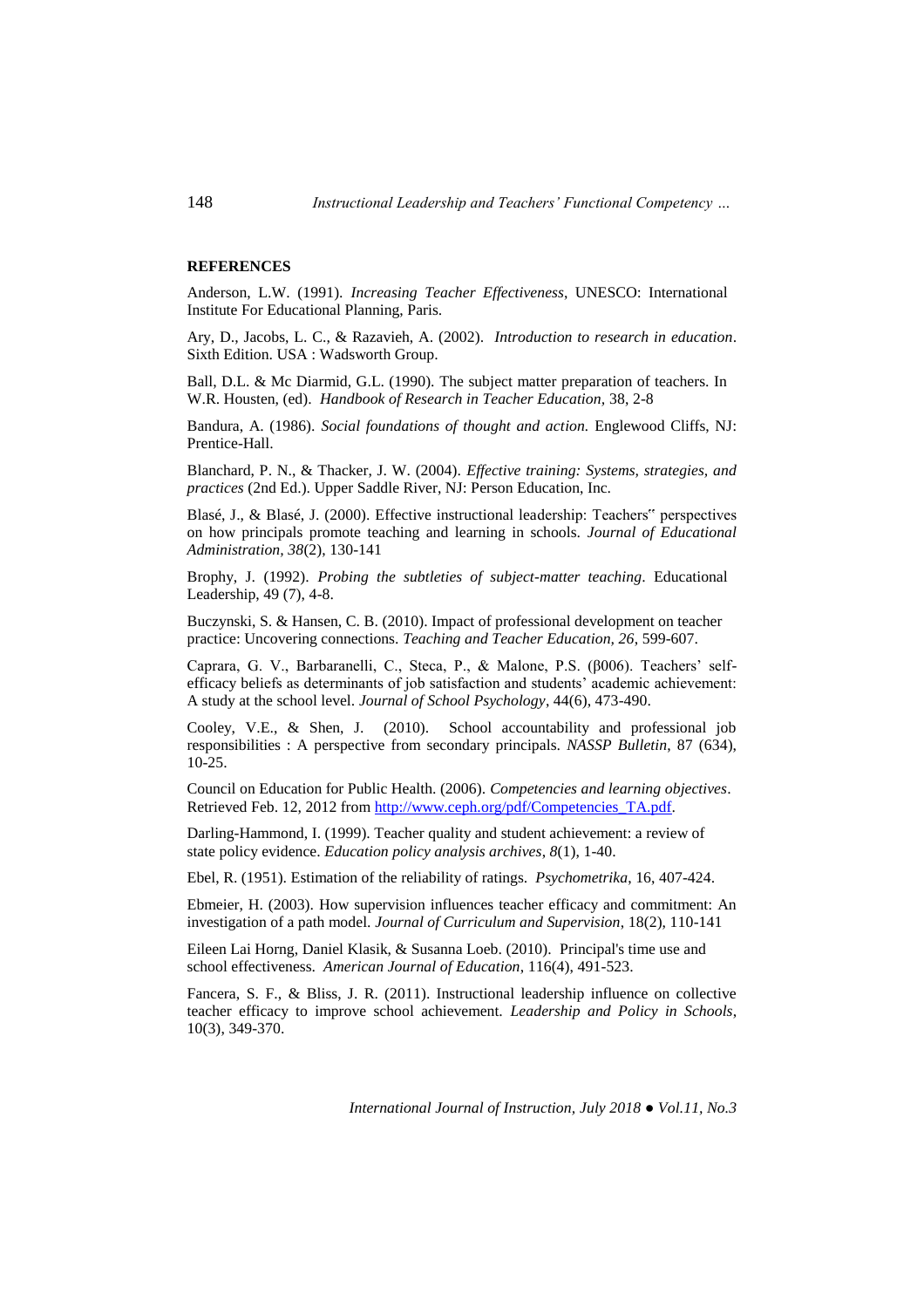# **REFERENCES**

Anderson, L.W. (1991). *Increasing Teacher Effectiveness*, UNESCO: International Institute For Educational Planning, Paris.

Ary, D., Jacobs, L. C., & Razavieh, A. (2002). *Introduction to research in education*. Sixth Edition. USA : Wadsworth Group.

Ball, D.L. & Mc Diarmid, G.L. (1990). The subject matter preparation of teachers. In W.R. Housten, (ed). *Handbook of Research in Teacher Education,* 38, 2-8

Bandura, A. (1986). *Social foundations of thought and action.* Englewood Cliffs, NJ: Prentice-Hall.

Blanchard, P. N., & Thacker, J. W. (2004). *Effective training: Systems, strategies, and practices* (2nd Ed.). Upper Saddle River, NJ: Person Education, Inc.

Blasé, J., & Blasé, J. (2000). Effective instructional leadership: Teachers" perspectives on how principals promote teaching and learning in schools. *Journal of Educational Administration, 38*(2), 130-141

Brophy, J. (1992). *Probing the subtleties of subject-matter teaching*. Educational Leadership, 49 (7), 4-8.

Buczynski, S. & Hansen, C. B. (2010). Impact of professional development on teacher practice: Uncovering connections. *Teaching and Teacher Education, 26*, 599-607.

Caprara, G. V., Barbaranelli, C., Steca, P., & Malone, P.S. (β006). Teachers' selfefficacy beliefs as determinants of job satisfaction and students' academic achievement: A study at the school level. *Journal of School Psychology*, 44(6), 473-490.

Cooley, V.E., & Shen, J. (2010). School accountability and professional job responsibilities : A perspective from secondary principals. *NASSP Bulletin*, 87 (634), 10-25.

Council on Education for Public Health. (2006). *Competencies and learning objectives*. Retrieved Feb. 12, 2012 from [http://www.ceph.org/pdf/Competencies\\_TA.pdf.](http://www.ceph.org/pdf/Competencies_TA.pdf)

Darling-Hammond, I. (1999). Teacher quality and student achievement: a review of state policy evidence. *Education policy analysis archives*, *8*(1), 1-40.

Ebel, R. (1951). Estimation of the reliability of ratings. *Psychometrika*, 16, 407-424.

Ebmeier, H. (2003). How supervision influences teacher efficacy and commitment: An investigation of a path model. *Journal of Curriculum and Supervision*, 18(2), 110-141

Eileen Lai Horng, Daniel Klasik, & Susanna Loeb. (2010). Principal's time use and school effectiveness. *American Journal of Education*, 116(4), 491-523.

Fancera, S. F., & Bliss, J. R. (2011). Instructional leadership influence on collective teacher efficacy to improve school achievement. *Leadership and Policy in Schools*, 10(3), 349-370.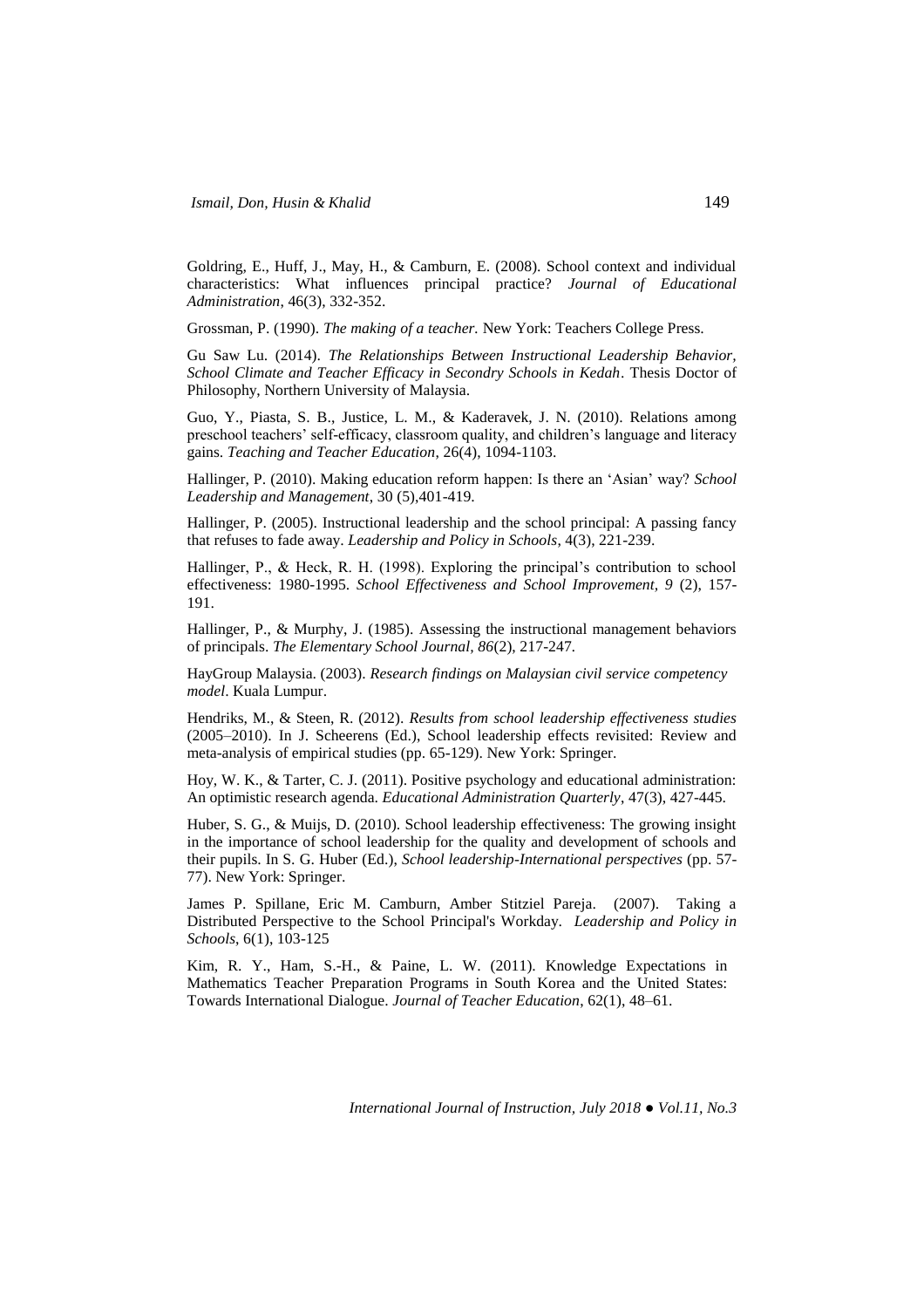Goldring, E., Huff, J., May, H., & Camburn, E. (2008). School context and individual characteristics: What influences principal practice? *Journal of Educational Administration*, 46(3), 332-352.

Grossman, P. (1990). *The making of a teacher.* New York: Teachers College Press.

Gu Saw Lu. (2014). *The Relationships Between Instructional Leadership Behavior, School Climate and Teacher Efficacy in Secondry Schools in Kedah*. Thesis Doctor of Philosophy, Northern University of Malaysia.

Guo, Y., Piasta, S. B., Justice, L. M., & Kaderavek, J. N. (2010). Relations among preschool teachers' self-efficacy, classroom quality, and children's language and literacy gains. *Teaching and Teacher Education*, 26(4), 1094-1103.

Hallinger, P. (2010). Making education reform happen: Is there an 'Asian' way? *School Leadership and Management*, 30 (5),401-419.

Hallinger, P. (2005). Instructional leadership and the school principal: A passing fancy that refuses to fade away. *Leadership and Policy in Schools*, 4(3), 221-239.

Hallinger, P., & Heck, R. H. (1998). Exploring the principal's contribution to school effectiveness: 1980-1995. *School Effectiveness and School Improvement, 9* (2), 157- 191.

Hallinger, P., & Murphy, J. (1985). Assessing the instructional management behaviors of principals. *The Elementary School Journal, 86*(2), 217-247*.*

HayGroup Malaysia. (2003). *Research findings on Malaysian civil service competency model*. Kuala Lumpur.

Hendriks, M., & Steen, R. (2012). *Results from school leadership effectiveness studies* (2005–2010). In J. Scheerens (Ed.), School leadership effects revisited: Review and meta-analysis of empirical studies (pp. 65-129). New York: Springer.

Hoy, W. K., & Tarter, C. J. (2011). Positive psychology and educational administration: An optimistic research agenda. *Educational Administration Quarterly*, 47(3), 427-445.

Huber, S. G., & Muijs, D. (2010). School leadership effectiveness: The growing insight in the importance of school leadership for the quality and development of schools and their pupils. In S. G. Huber (Ed.), *School leadership-International perspectives* (pp. 57- 77). New York: Springer.

James P. Spillane, Eric M. Camburn, Amber Stitziel Pareja. (2007). Taking a Distributed Perspective to the School Principal's Workday. *Leadership and Policy in Schools*, 6(1), 103-125

Kim, R. Y., Ham, S.-H., & Paine, L. W. (2011). Knowledge Expectations in Mathematics Teacher Preparation Programs in South Korea and the United States: Towards International Dialogue. *Journal of Teacher Education*, 62(1), 48–61.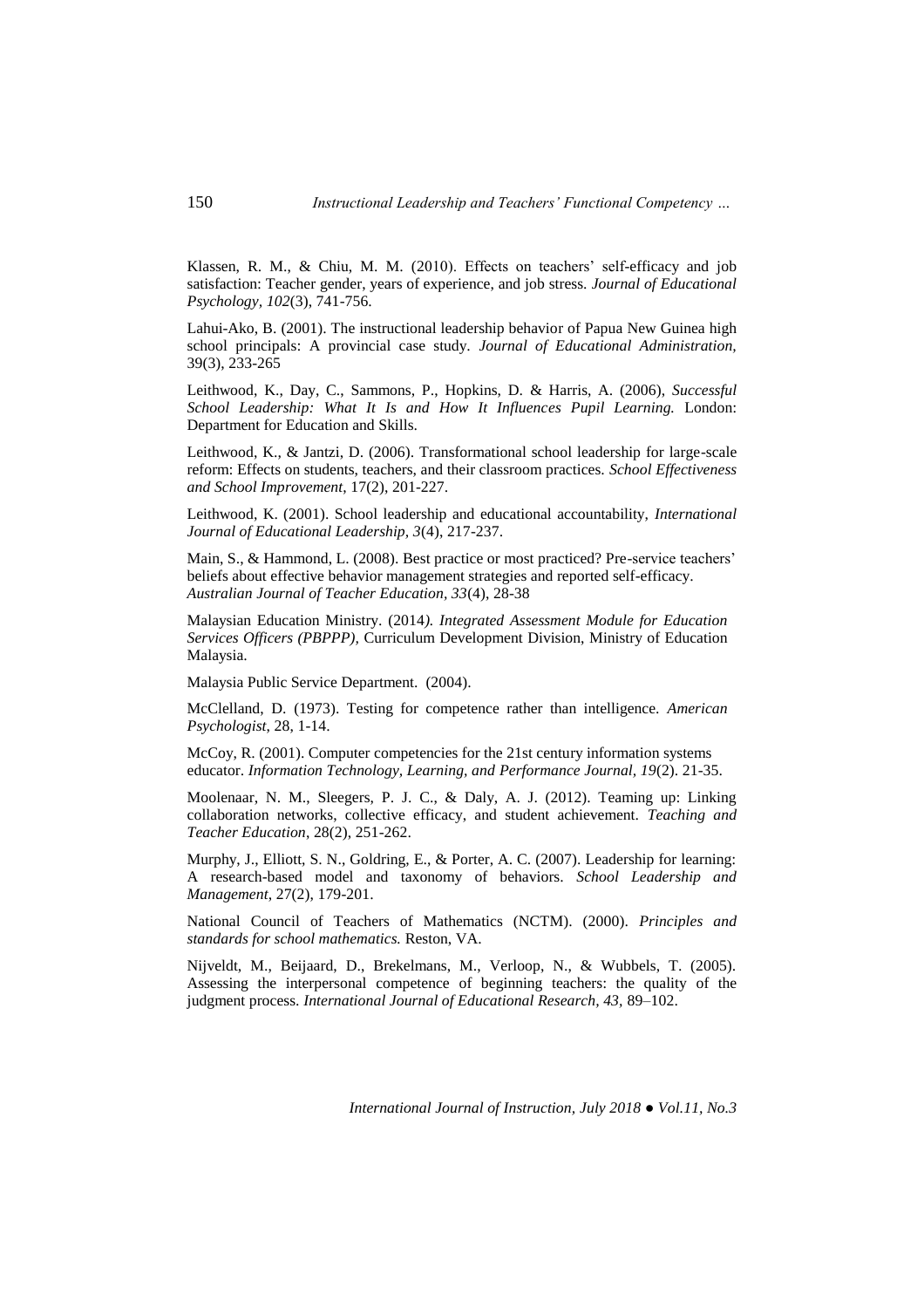Klassen, R. M., & Chiu, M. M. (2010). Effects on teachers' self-efficacy and job satisfaction: Teacher gender, years of experience, and job stress. *Journal of Educational Psychology, 102*(3), 741-756.

Lahui-Ako, B. (2001). The instructional leadership behavior of Papua New Guinea high school principals: A provincial case study. *Journal of Educational Administration,*  39(3), 233-265

Leithwood, K., Day, C., Sammons, P., Hopkins, D. & Harris, A. (2006), *Successful School Leadership: What It Is and How It Influences Pupil Learning.* London: Department for Education and Skills.

Leithwood, K., & Jantzi, D. (2006). Transformational school leadership for large-scale reform: Effects on students, teachers, and their classroom practices. *School Effectiveness and School Improvement*, 17(2), 201-227.

Leithwood, K. (2001). School leadership and educational accountability, *International Journal of Educational Leadership, 3*(4), 217-237.

Main, S., & Hammond, L. (2008). Best practice or most practiced? Pre-service teachers' beliefs about effective behavior management strategies and reported self-efficacy. *Australian Journal of Teacher Education, 33*(4), 28-38

Malaysian Education Ministry. (2014*). Integrated Assessment Module for Education Services Officers (PBPPP),* Curriculum Development Division, Ministry of Education Malaysia.

Malaysia Public Service Department. (2004).

McClelland, D. (1973). Testing for competence rather than intelligence. *American Psychologist*, 28, 1-14.

McCoy, R. (2001). Computer competencies for the 21st century information systems educator. *Information Technology, Learning, and Performance Journal, 19*(2). 21-35.

Moolenaar, N. M., Sleegers, P. J. C., & Daly, A. J. (2012). Teaming up: Linking collaboration networks, collective efficacy, and student achievement. *Teaching and Teacher Education*, 28(2), 251-262.

Murphy, J., Elliott, S. N., Goldring, E., & Porter, A. C. (2007). Leadership for learning: A research-based model and taxonomy of behaviors. *School Leadership and Management*, 27(2), 179-201.

National Council of Teachers of Mathematics (NCTM). (2000). *Principles and standards for school mathematics.* Reston, VA.

Nijveldt, M., Beijaard, D., Brekelmans, M., Verloop, N., & Wubbels, T. (2005). Assessing the interpersonal competence of beginning teachers: the quality of the judgment process. *International Journal of Educational Research, 43,* 89–102.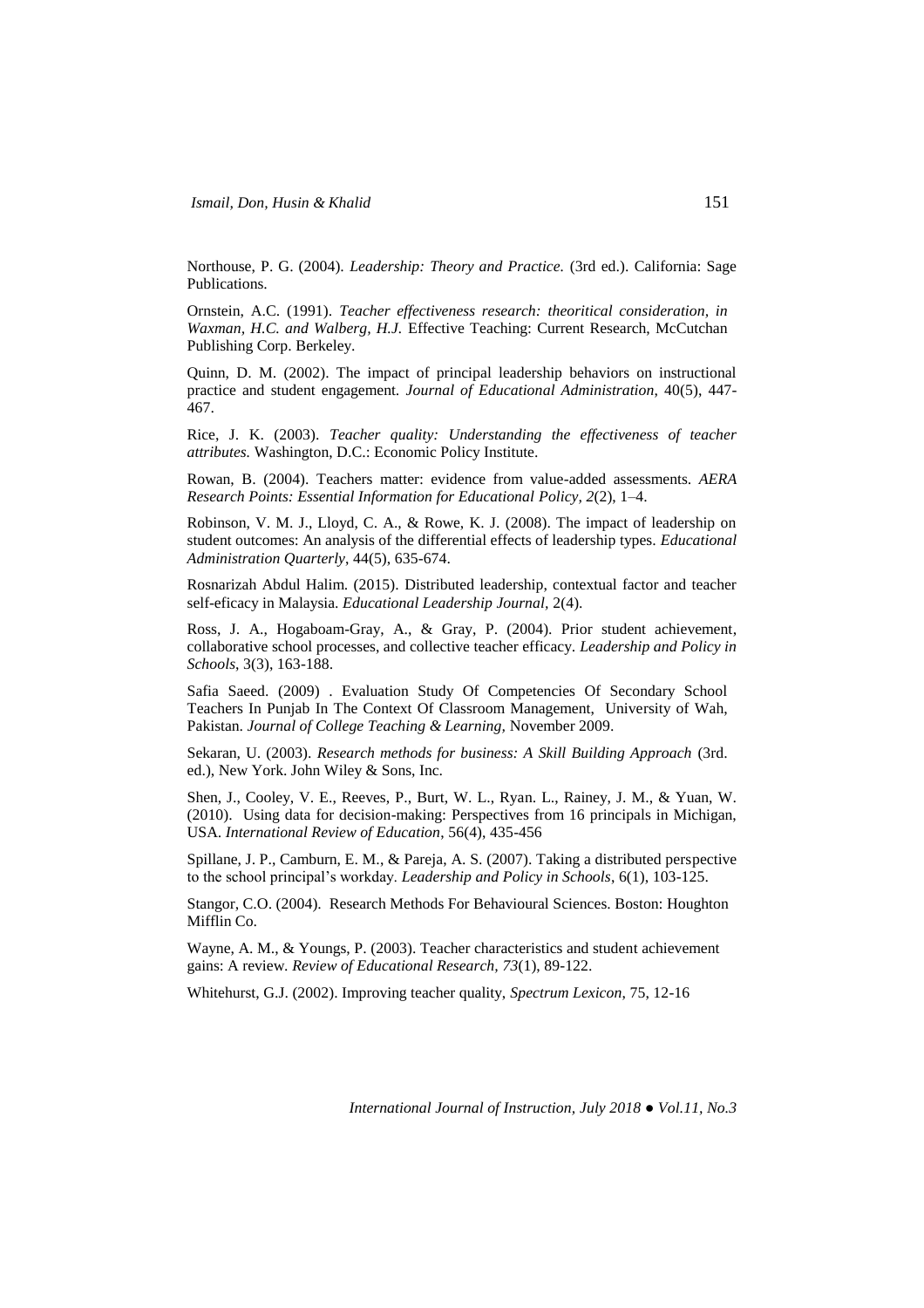Northouse, P. G. (2004). *Leadership: Theory and Practice.* (3rd ed.). California: Sage Publications.

Ornstein, A.C. (1991). *Teacher effectiveness research: theoritical consideration, in Waxman, H.C. and Walberg, H.J.* Effective Teaching: Current Research, McCutchan Publishing Corp. Berkeley.

Quinn, D. M. (2002). The impact of principal leadership behaviors on instructional practice and student engagement. *Journal of Educational Administration*, 40(5), 447- 467.

Rice, J. K. (2003). *Teacher quality: Understanding the effectiveness of teacher attributes.* Washington, D.C.: Economic Policy Institute.

Rowan, B. (2004). Teachers matter: evidence from value-added assessments. *AERA Research Points: Essential Information for Educational Policy, 2*(2), 1*–*4.

Robinson, V. M. J., Lloyd, C. A., & Rowe, K. J. (2008). The impact of leadership on student outcomes: An analysis of the differential effects of leadership types. *Educational Administration Quarterly*, 44(5), 635-674.

Rosnarizah Abdul Halim. (2015). Distributed leadership, contextual factor and teacher self-eficacy in Malaysia. *Educational Leadership Journal,* 2(4).

Ross, J. A., Hogaboam-Gray, A., & Gray, P. (2004). Prior student achievement, collaborative school processes, and collective teacher efficacy. *Leadership and Policy in Schools*, 3(3), 163-188.

Safia Saeed. (2009) . Evaluation Study Of Competencies Of Secondary School Teachers In Punjab In The Context Of Classroom Management, University of Wah, Pakistan. *Journal of College Teaching & Learning,* November 2009.

Sekaran, U. (2003). *Research methods for business: A Skill Building Approach* (3rd. ed.), New York. John Wiley & Sons, Inc.

Shen, J., Cooley, V. E., Reeves, P., Burt, W. L., Ryan. L., Rainey, J. M., & Yuan, W. (2010). Using data for decision-making: Perspectives from 16 principals in Michigan, USA. *International Review of Education*, 56(4), 435-456

Spillane, J. P., Camburn, E. M., & Pareja, A. S. (2007). Taking a distributed perspective to the school principal's workday. *Leadership and Policy in Schools*, 6(1), 103-125.

Stangor, C.O. (2004). Research Methods For Behavioural Sciences. Boston: Houghton Mifflin Co.

Wayne, A. M., & Youngs, P. (2003). Teacher characteristics and student achievement gains: A review. *Review of Educational Research, 73*(1), 89-122.

Whitehurst, G.J. (2002). Improving teacher quality, *Spectrum Lexicon*, 75, 12-16